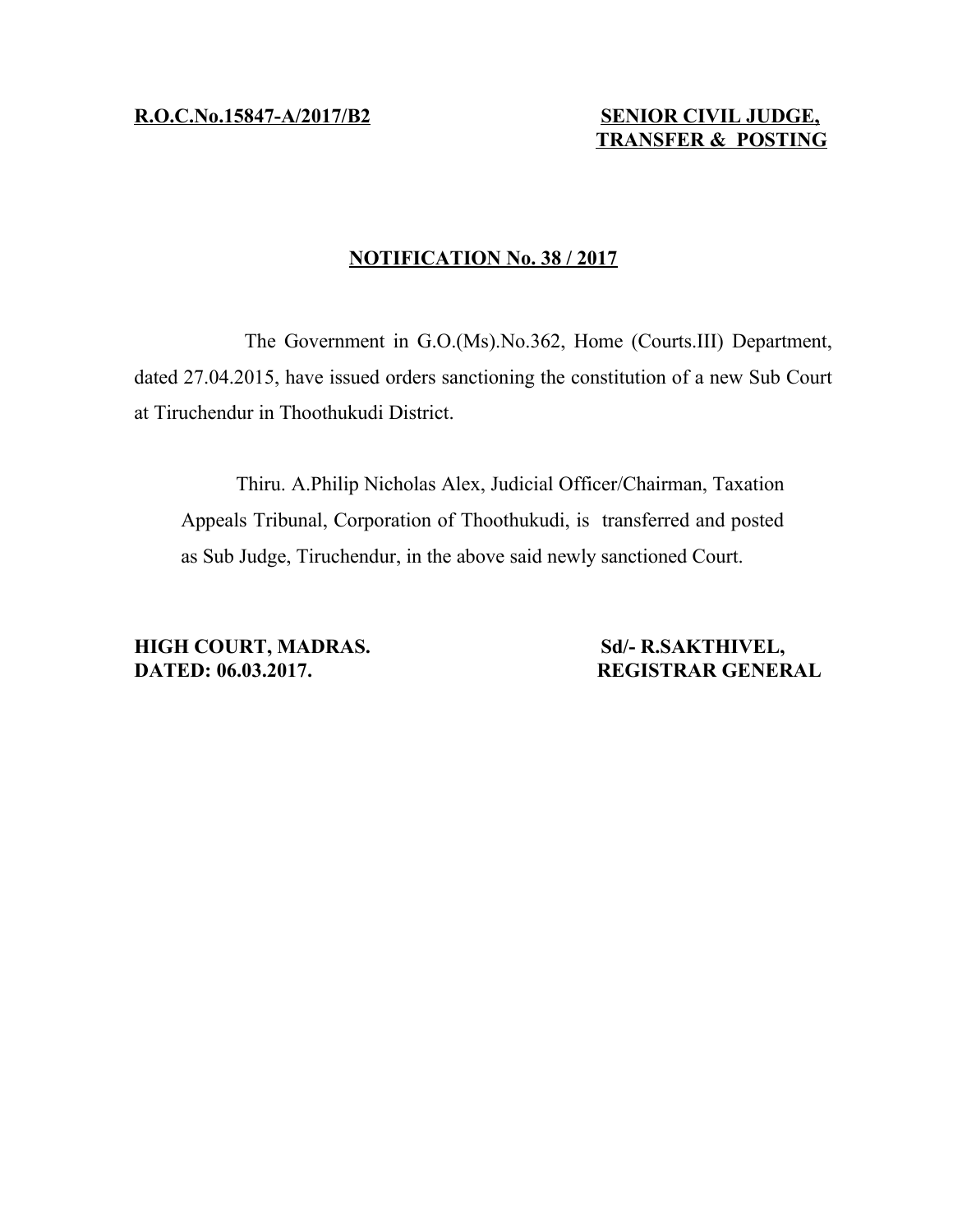**R .O.C.No.15847- A/2017/B2 SENIOR CIVIL JUDGE,**

## **NOTIFICATION No. 38 / 2017**

The Government in G.O.(Ms).No.362, Home (Courts.III) Department, dated 27.04.2015, have issued orders sanctioning the constitution of a new Sub Court at Tiruchendur in Thoothukudi District.

Thiru. A.Philip Nicholas Alex, Judicial Officer/Chairman, Taxation Appeals Tribunal, Corporation of Thoothukudi, is transferred and posted as Sub Judge, Tiruchendur, in the above said newly sanctioned Court.

**HIGH COURT, MADRAS.** Sd/- R.SAKTHIVEL, **DATED: 06.03.2017. REGISTRAR GENERAL**